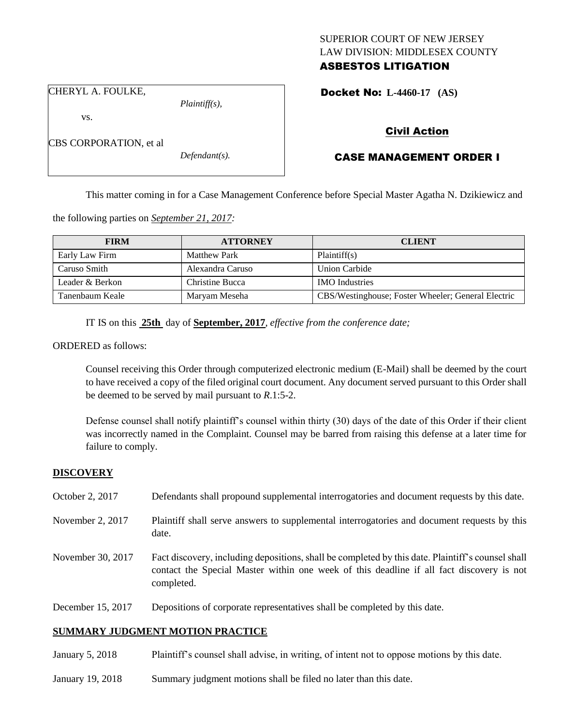# SUPERIOR COURT OF NEW JERSEY LAW DIVISION: MIDDLESEX COUNTY ASBESTOS LITIGATION

CHERYL A. FOULKE,

CBS CORPORATION, et al

vs.

*Plaintiff(s),*

*Defendant(s).*

Docket No: **L-4460-17 (AS)** 

# Civil Action

# CASE MANAGEMENT ORDER I

This matter coming in for a Case Management Conference before Special Master Agatha N. Dzikiewicz and

the following parties on *September 21, 2017:*

| <b>FIRM</b>     | <b>ATTORNEY</b>     | <b>CLIENT</b>                                      |
|-----------------|---------------------|----------------------------------------------------|
| Early Law Firm  | <b>Matthew Park</b> | Plaintiff(s)                                       |
| Caruso Smith    | Alexandra Caruso    | <b>Union Carbide</b>                               |
| Leader & Berkon | Christine Bucca     | <b>IMO</b> Industries                              |
| Tanenbaum Keale | Marvam Meseha       | CBS/Westinghouse; Foster Wheeler; General Electric |

IT IS on this **25th** day of **September, 2017**, *effective from the conference date;*

ORDERED as follows:

Counsel receiving this Order through computerized electronic medium (E-Mail) shall be deemed by the court to have received a copy of the filed original court document. Any document served pursuant to this Order shall be deemed to be served by mail pursuant to *R*.1:5-2.

Defense counsel shall notify plaintiff's counsel within thirty (30) days of the date of this Order if their client was incorrectly named in the Complaint. Counsel may be barred from raising this defense at a later time for failure to comply.

# **DISCOVERY**

| October 2, 2017   | Defendants shall propound supplemental interrogatories and document requests by this date.                                                                                                                  |
|-------------------|-------------------------------------------------------------------------------------------------------------------------------------------------------------------------------------------------------------|
| November 2, 2017  | Plaintiff shall serve answers to supplemental interrogatories and document requests by this<br>date.                                                                                                        |
| November 30, 2017 | Fact discovery, including depositions, shall be completed by this date. Plaintiff's counsel shall<br>contact the Special Master within one week of this deadline if all fact discovery is not<br>completed. |
| December 15, 2017 | Depositions of corporate representatives shall be completed by this date.                                                                                                                                   |

# **SUMMARY JUDGMENT MOTION PRACTICE**

January 5, 2018 Plaintiff's counsel shall advise, in writing, of intent not to oppose motions by this date.

January 19, 2018 Summary judgment motions shall be filed no later than this date.